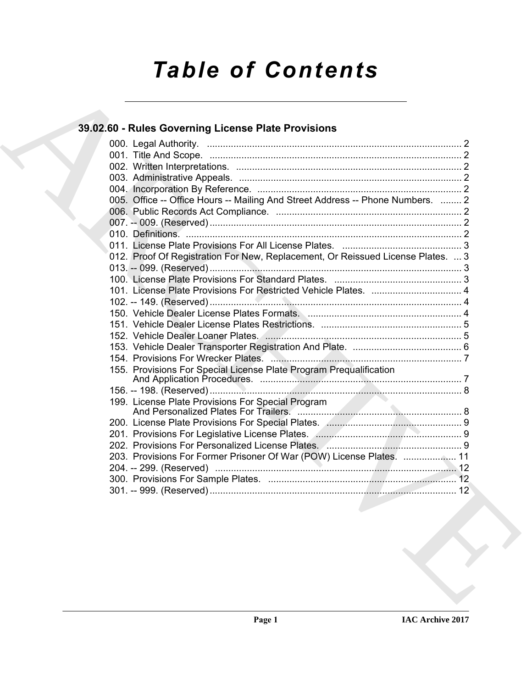# *Table of Contents*

# **39.02.60 - Rules Governing License Plate Provisions**

| 005. Office -- Office Hours -- Mailing And Street Address -- Phone Numbers.  2  |
|---------------------------------------------------------------------------------|
|                                                                                 |
|                                                                                 |
|                                                                                 |
|                                                                                 |
| 012. Proof Of Registration For New, Replacement, Or Reissued License Plates.  3 |
|                                                                                 |
|                                                                                 |
|                                                                                 |
|                                                                                 |
|                                                                                 |
|                                                                                 |
|                                                                                 |
|                                                                                 |
|                                                                                 |
| 155. Provisions For Special License Plate Program Prequalification              |
|                                                                                 |
| 199. License Plate Provisions For Special Program                               |
|                                                                                 |
|                                                                                 |
|                                                                                 |
|                                                                                 |
| 203. Provisions For Former Prisoner Of War (POW) License Plates.  11            |
| .12                                                                             |
|                                                                                 |
|                                                                                 |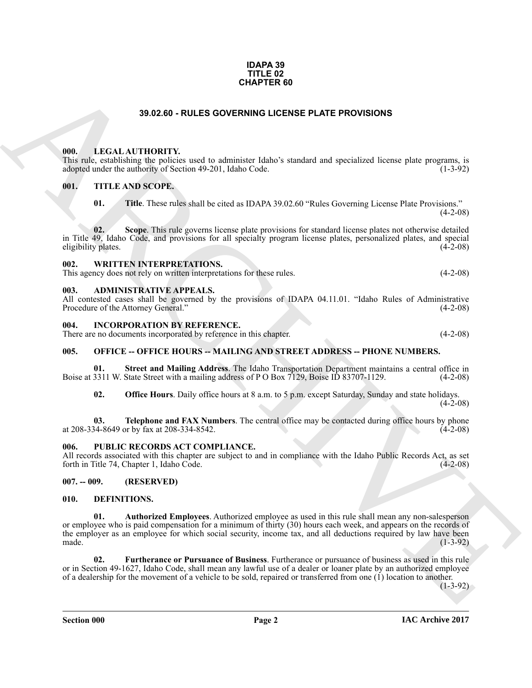#### **IDAPA 39 TITLE 02 CHAPTER 60**

# **39.02.60 - RULES GOVERNING LICENSE PLATE PROVISIONS**

# <span id="page-1-1"></span><span id="page-1-0"></span>**000. LEGAL AUTHORITY.**

This rule, establishing the policies used to administer Idaho's standard and specialized license plate programs, is adopted under the authority of Section 49-201, Idaho Code. (1-3-92)

# <span id="page-1-2"></span>**001. TITLE AND SCOPE.**

**01. Title**. These rules shall be cited as IDAPA 39.02.60 "Rules Governing License Plate Provisions."  $(4-2-08)$ 

**02. Scope**. This rule governs license plate provisions for standard license plates not otherwise detailed in Title 49, Idaho Code, and provisions for all specialty program license plates, personalized plates, and special eligibility plates.

# <span id="page-1-3"></span>**002. WRITTEN INTERPRETATIONS.**

This agency does not rely on written interpretations for these rules. (4-2-08)

#### <span id="page-1-4"></span>**003. ADMINISTRATIVE APPEALS.**

All contested cases shall be governed by the provisions of IDAPA 04.11.01. "Idaho Rules of Administrative Procedure of the Attorney General." (4-2-08) Procedure of the Attorney General."

### <span id="page-1-5"></span>**004. INCORPORATION BY REFERENCE.**

There are no documents incorporated by reference in this chapter. (4-2-08)

# <span id="page-1-6"></span>**005. OFFICE -- OFFICE HOURS -- MAILING AND STREET ADDRESS -- PHONE NUMBERS.**

**01. Street and Mailing Address**. The Idaho Transportation Department maintains a central office in 3311 W. State Street with a mailing address of P O Box 7129, Boise ID 83707-1129. (4-2-08) Boise at 3311 W. State Street with a mailing address of P O Box 7129, Boise ID 83707-1129.

**02. Office Hours**. Daily office hours at 8 a.m. to 5 p.m. except Saturday, Sunday and state holidays.  $(4-2-08)$ 

**03. Telephone and FAX Numbers**. The central office may be contacted during office hours by phone 34-8649 or by fax at 208-334-8542. at 208-334-8649 or by fax at 208-334-8542.

# <span id="page-1-7"></span>**006. PUBLIC RECORDS ACT COMPLIANCE.**

All records associated with this chapter are subject to and in compliance with the Idaho Public Records Act, as set forth in Title 74, Chapter 1, Idaho Code. (4-2-08)

# <span id="page-1-8"></span>**007. -- 009. (RESERVED)**

# <span id="page-1-11"></span><span id="page-1-10"></span><span id="page-1-9"></span>**010. DEFINITIONS.**

**CHAPTER 50**<br> **CHALANTIDRITY**, and to chinister labach standard and specified license plus program, is<br> **CON CASE THE ANS SCOPE.**<br> **CHARCHIVE STATE AND SCOPE.**<br> **CHARCHIVE STATE AND SCOPE.**<br> **CHARCHIVE STATE AND SCOPE.**<br> **01. Authorized Employees**. Authorized employee as used in this rule shall mean any non-salesperson or employee who is paid compensation for a minimum of thirty (30) hours each week, and appears on the records of the employer as an employee for which social security, income tax, and all deductions required by law have been made.  $(1-3-92)$ 

<span id="page-1-12"></span>**02. Furtherance or Pursuance of Business**. Furtherance or pursuance of business as used in this rule or in Section 49-1627, Idaho Code, shall mean any lawful use of a dealer or loaner plate by an authorized employee of a dealership for the movement of a vehicle to be sold, repaired or transferred from one (1) location to another.

(1-3-92)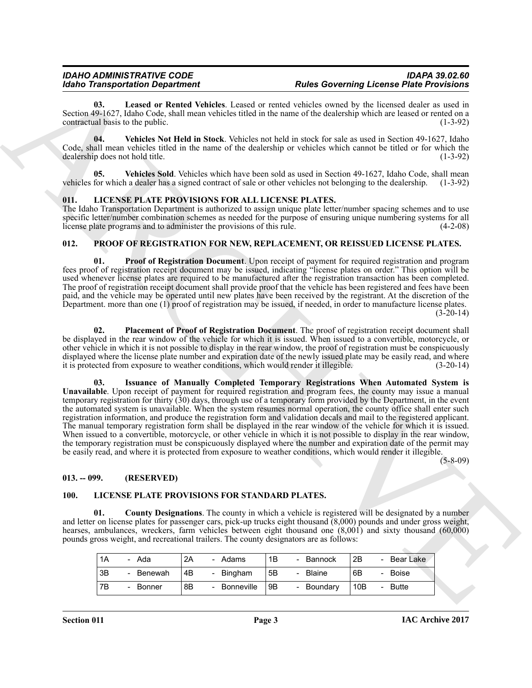<span id="page-2-4"></span>Leased or Rented Vehicles. Leased or rented vehicles owned by the licensed dealer as used in Section 49-1627, Idaho Code, shall mean vehicles titled in the name of the dealership which are leased or rented on a contractual basis to the public.

<span id="page-2-5"></span>**04. Vehicles Not Held in Stock**. Vehicles not held in stock for sale as used in Section 49-1627, Idaho Code, shall mean vehicles titled in the name of the dealership or vehicles which cannot be titled or for which the dealership does not hold title. (1-3-92) dealership does not hold title.

<span id="page-2-6"></span>**05. Vehicles Sold**. Vehicles which have been sold as used in Section 49-1627, Idaho Code, shall mean vehicles for which a dealer has a signed contract of sale or other vehicles not belonging to the dealership. (1-3-92)

# <span id="page-2-0"></span>**011. LICENSE PLATE PROVISIONS FOR ALL LICENSE PLATES.**

The Idaho Transportation Department is authorized to assign unique plate letter/number spacing schemes and to use specific letter/number combination schemes as needed for the purpose of ensuring unique numbering systems for all license plate programs and to administer the provisions of this rule. (4-2-08)

# <span id="page-2-9"></span><span id="page-2-1"></span>**012. PROOF OF REGISTRATION FOR NEW, REPLACEMENT, OR REISSUED LICENSE PLATES.**

<span id="page-2-12"></span>**01. Proof of Registration Document**. Upon receipt of payment for required registration and program fees proof of registration receipt document may be issued, indicating "license plates on order." This option will be used whenever license plates are required to be manufactured after the registration transaction has been completed. The proof of registration receipt document shall provide proof that the vehicle has been registered and fees have been paid, and the vehicle may be operated until new plates have been received by the registrant. At the discretion of the Department. more than one (1) proof of registration may be issued, if needed, in order to manufacture license plates.  $(3-20-14)$ 

<span id="page-2-11"></span><span id="page-2-10"></span>**02. Placement of Proof of Registration Document**. The proof of registration receipt document shall be displayed in the rear window of the vehicle for which it is issued. When issued to a convertible, motorcycle, or other vehicle in which it is not possible to display in the rear window, the proof of registration must be conspicuously displayed where the license plate number and expiration date of the newly issued plate may be easily read, and where it is protected from exposure to weather conditions, which would render it illegible.  $(3-20-14)$ it is protected from exposure to weather conditions, which would render it illegible.

Model Transportation Department<br>
Scale of Marchive Assette to the Columb Constraint Constraint Constraint Columb Columb Columb Columb Columb Columb Columb Columb Columb Columb Columb Columb Columb Columb Columb Columb Col **03. Issuance of Manually Completed Temporary Registrations When Automated System is** Unavailable. Upon receipt of payment for required registration and program fees, the county may issue a manual temporary registration for thirty (30) days, through use of a temporary form provided by the Department, in the event the automated system is unavailable. When the system resumes normal operation, the county office shall enter such registration information, and produce the registration form and validation decals and mail to the registered applicant. The manual temporary registration form shall be displayed in the rear window of the vehicle for which it is issued. When issued to a convertible, motorcycle, or other vehicle in which it is not possible to display in the rear window, the temporary registration must be conspicuously displayed where the number and expiration date of the permit may be easily read, and where it is protected from exposure to weather conditions, which would render it illegible.

(5-8-09)

# <span id="page-2-2"></span>**013. -- 099. (RESERVED)**

# <span id="page-2-7"></span><span id="page-2-3"></span>**100. LICENSE PLATE PROVISIONS FOR STANDARD PLATES.**

**01. County Designations**. The county in which a vehicle is registered will be designated by a number and letter on license plates for passenger cars, pick-up trucks eight thousand (8,000) pounds and under gross weight, hearses, ambulances, wreckers, farm vehicles between eight thousand one  $(8,001)$  and sixty thousand  $(60,000)$ pounds gross weight, and recreational trailers. The county designators are as follows:

<span id="page-2-8"></span>

| 1A | Ada<br>-                           | 2A | Adams         | 1B | - Bannock  | 2B  | Bear Lake<br>-    |
|----|------------------------------------|----|---------------|----|------------|-----|-------------------|
| 3B | Benewah<br>-                       | 4B | Bingham<br>۰. | 5B | - Blaine   | 6B  | <b>Boise</b><br>- |
| 7Β | Bonner<br>$\overline{\phantom{0}}$ | 8B | Bonneville    | 9B | - Boundary | 10B | <b>Butte</b><br>- |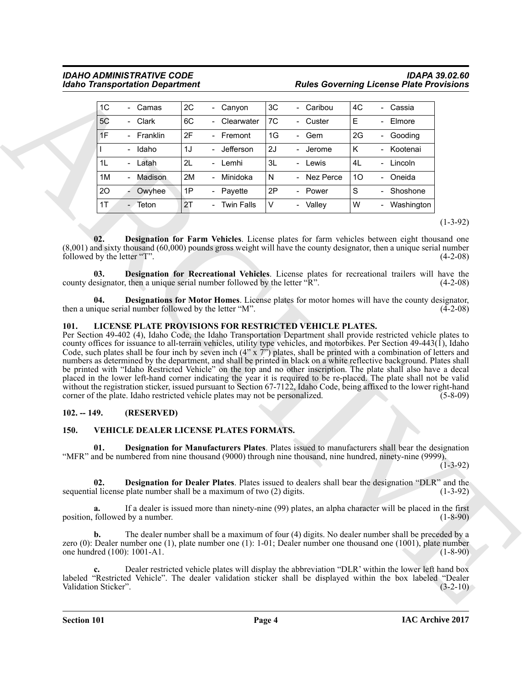|                                                                      | <b>Idaho Transportation Department</b>                                                                                                                                                                                                                                                                                                                                                                                                                                                                                                                                                                                                                                                                                        |    |                                        |           |             | <b>Rules Governing License Plate Provisions</b> |                                                                                                                                                                                                                                                                                                     |                                                      |  |  |
|----------------------------------------------------------------------|-------------------------------------------------------------------------------------------------------------------------------------------------------------------------------------------------------------------------------------------------------------------------------------------------------------------------------------------------------------------------------------------------------------------------------------------------------------------------------------------------------------------------------------------------------------------------------------------------------------------------------------------------------------------------------------------------------------------------------|----|----------------------------------------|-----------|-------------|-------------------------------------------------|-----------------------------------------------------------------------------------------------------------------------------------------------------------------------------------------------------------------------------------------------------------------------------------------------------|------------------------------------------------------|--|--|
| 1 <sup>C</sup>                                                       | - Camas                                                                                                                                                                                                                                                                                                                                                                                                                                                                                                                                                                                                                                                                                                                       | 2C | - Canyon                               | 3C        | - Caribou   | 4C                                              | - Cassia                                                                                                                                                                                                                                                                                            |                                                      |  |  |
| 5C                                                                   | - Clark                                                                                                                                                                                                                                                                                                                                                                                                                                                                                                                                                                                                                                                                                                                       | 6C | Clearwater                             | 7C        | - Custer    | E                                               | Elmore                                                                                                                                                                                                                                                                                              |                                                      |  |  |
| 1F                                                                   | - Franklin                                                                                                                                                                                                                                                                                                                                                                                                                                                                                                                                                                                                                                                                                                                    | 2F | - Fremont                              | 1G        | - Gem       | 2G                                              | - Gooding                                                                                                                                                                                                                                                                                           |                                                      |  |  |
|                                                                      | - Idaho                                                                                                                                                                                                                                                                                                                                                                                                                                                                                                                                                                                                                                                                                                                       | 1J | - Jefferson                            | 2J        | - Jerome    | Κ                                               | Kootenai                                                                                                                                                                                                                                                                                            |                                                      |  |  |
| 1L                                                                   | - Latah                                                                                                                                                                                                                                                                                                                                                                                                                                                                                                                                                                                                                                                                                                                       | 2L | - Lemhi                                | 3L        | - Lewis     | 4L                                              | Lincoln                                                                                                                                                                                                                                                                                             |                                                      |  |  |
| 1M                                                                   | - Madison                                                                                                                                                                                                                                                                                                                                                                                                                                                                                                                                                                                                                                                                                                                     | 2M | - Minidoka                             | ${\sf N}$ | - Nez Perce | 10                                              | - Oneida                                                                                                                                                                                                                                                                                            |                                                      |  |  |
| 20                                                                   | Owyhee                                                                                                                                                                                                                                                                                                                                                                                                                                                                                                                                                                                                                                                                                                                        | 1P | - Payette                              | 2P        | - Power     | S                                               | Shoshone                                                                                                                                                                                                                                                                                            |                                                      |  |  |
| 1T                                                                   | - Teton                                                                                                                                                                                                                                                                                                                                                                                                                                                                                                                                                                                                                                                                                                                       | 2T | - Twin Falls                           | V         | - Valley    | W                                               | Washington                                                                                                                                                                                                                                                                                          |                                                      |  |  |
| 02.<br>followed by the letter "T".<br>03.<br>04.<br>101.             | $(8,001)$ and sixty thousand $(60,000)$ pounds gross weight will have the county designator, then a unique serial number<br>county designator, then a unique serial number followed by the letter "R".<br>then a unique serial number followed by the letter "M".<br>LICENSE PLATE PROVISIONS FOR RESTRICTED VEHICLE PLATES.<br>Per Section 49-402 (4), Idaho Code, the Idaho Transportation Department shall provide restricted vehicle plates to<br>county offices for issuance to all-terrain vehicles, utility type vehicles, and motorbikes. Per Section $49-443(\tilde{1})$ , Idaho<br>Code, such plates shall be four inch by seven inch $(4'' \times 7'')$ plates, shall be printed with a combination of letters and |    |                                        |           |             |                                                 | Designation for Farm Vehicles. License plates for farm vehicles between eight thousand one<br>Designation for Recreational Vehicles. License plates for recreational trailers will have the<br><b>Designations for Motor Homes.</b> License plates for motor homes will have the county designator, | $(4-2-08)$<br>$(4-2-08)$<br>$(4-2-08)$               |  |  |
|                                                                      | numbers as determined by the department, and shall be printed in black on a white reflective background. Plates shall<br>be printed with "Idaho Restricted Vehicle" on the top and no other inscription. The plate shall also have a decal<br>placed in the lower left-hand corner indicating the year it is required to be re-placed. The plate shall not be valid<br>without the registration sticker, issued pursuant to Section 67-7122, Idaho Code, being affixed to the lower right-hand<br>corner of the plate. Idaho restricted vehicle plates may not be personalized.                                                                                                                                               |    |                                        |           |             |                                                 |                                                                                                                                                                                                                                                                                                     | $(5-8-09)$                                           |  |  |
| $102. - 149.$                                                        | (RESERVED)                                                                                                                                                                                                                                                                                                                                                                                                                                                                                                                                                                                                                                                                                                                    |    |                                        |           |             |                                                 |                                                                                                                                                                                                                                                                                                     |                                                      |  |  |
|                                                                      |                                                                                                                                                                                                                                                                                                                                                                                                                                                                                                                                                                                                                                                                                                                               |    |                                        |           |             |                                                 |                                                                                                                                                                                                                                                                                                     |                                                      |  |  |
|                                                                      |                                                                                                                                                                                                                                                                                                                                                                                                                                                                                                                                                                                                                                                                                                                               |    | VEHICLE DEALER LICENSE PLATES FORMATS. |           |             |                                                 |                                                                                                                                                                                                                                                                                                     |                                                      |  |  |
| <b>150.</b><br>01.                                                   | "MFR" and be numbered from nine thousand (9000) through nine thousand, nine hundred, ninety-nine (9999).                                                                                                                                                                                                                                                                                                                                                                                                                                                                                                                                                                                                                      |    |                                        |           |             |                                                 | Designation for Manufacturers Plates. Plates issued to manufacturers shall bear the designation                                                                                                                                                                                                     |                                                      |  |  |
| 02.                                                                  | sequential license plate number shall be a maximum of two (2) digits.                                                                                                                                                                                                                                                                                                                                                                                                                                                                                                                                                                                                                                                         |    |                                        |           |             |                                                 | Designation for Dealer Plates. Plates issued to dealers shall bear the designation "DLR" and the                                                                                                                                                                                                    |                                                      |  |  |
| a.                                                                   |                                                                                                                                                                                                                                                                                                                                                                                                                                                                                                                                                                                                                                                                                                                               |    |                                        |           |             |                                                 | If a dealer is issued more than ninety-nine (99) plates, an alpha character will be placed in the first                                                                                                                                                                                             |                                                      |  |  |
| position, followed by a number.<br>b.<br>one hundred (100): 1001-A1. | zero (0): Dealer number one (1), plate number one (1): 1-01; Dealer number one thousand one $(1001)$ , plate number                                                                                                                                                                                                                                                                                                                                                                                                                                                                                                                                                                                                           |    |                                        |           |             |                                                 | The dealer number shall be a maximum of four (4) digits. No dealer number shall be preceded by a                                                                                                                                                                                                    | $(1-3-92)$<br>$(1-3-92)$<br>$(1-8-90)$<br>$(1-8-90)$ |  |  |
| c.<br>Validation Sticker".                                           | labeled "Restricted Vehicle". The dealer validation sticker shall be displayed within the box labeled "Dealer                                                                                                                                                                                                                                                                                                                                                                                                                                                                                                                                                                                                                 |    |                                        |           |             |                                                 | Dealer restricted vehicle plates will display the abbreviation "DLR' within the lower left hand box                                                                                                                                                                                                 | $(3-2-10)$                                           |  |  |

# <span id="page-3-6"></span><span id="page-3-5"></span><span id="page-3-4"></span><span id="page-3-3"></span><span id="page-3-0"></span>**101. LICENSE PLATE PROVISIONS FOR RESTRICTED VEHICLE PLATES.**

# <span id="page-3-1"></span>**102. -- 149. (RESERVED)**

# <span id="page-3-9"></span><span id="page-3-8"></span><span id="page-3-7"></span><span id="page-3-2"></span>**150. VEHICLE DEALER LICENSE PLATES FORMATS.**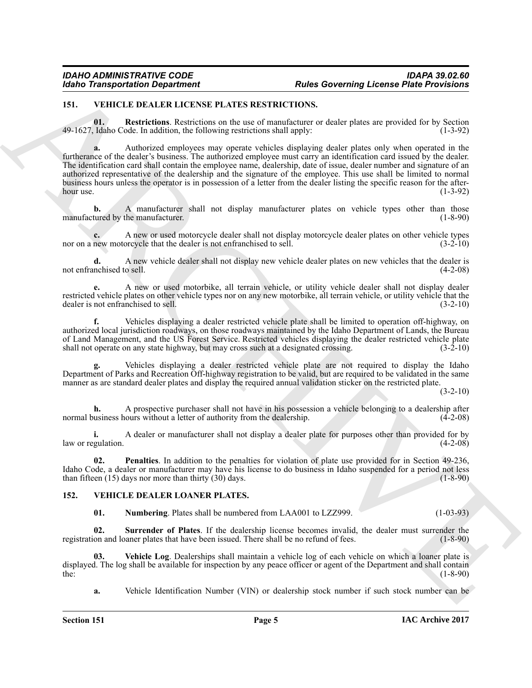# <span id="page-4-4"></span><span id="page-4-2"></span><span id="page-4-0"></span>**151. VEHICLE DEALER LICENSE PLATES RESTRICTIONS.**

**01. Restrictions**. Restrictions on the use of manufacturer or dealer plates are provided for by Section Idaho Code. In addition, the following restrictions shall apply: (1-3-92)  $49-1627$ , Idaho Code. In addition, the following restrictions shall apply:

For The Health Control of the Solennia Control of the Solennia Control of the Solennia Control of the Solennia Control of the Solennia Control of the Solennia Control of the Solennia Control of the Solennia Control of the **a.** Authorized employees may operate vehicles displaying dealer plates only when operated in the furtherance of the dealer's business. The authorized employee must carry an identification card issued by the dealer. The identification card shall contain the employee name, dealership, date of issue, dealer number and signature of an authorized representative of the dealership and the signature of the employee. This use shall be limited to normal business hours unless the operator is in possession of a letter from the dealer listing the specific reason for the after-<br>(1-3-92) hour use.  $(1-3-92)$ 

**b.** A manufacturer shall not display manufacturer plates on vehicle types other than those tured by the manufacturer. (1-8-90) manufactured by the manufacturer.

**c.** A new or used motorcycle dealer shall not display motorcycle dealer plates on other vehicle types new motorcycle that the dealer is not enfranchised to sell. (3-2-10) nor on a new motorcycle that the dealer is not enfranchised to sell.

**d.** A new vehicle dealer shall not display new vehicle dealer plates on new vehicles that the dealer is nchised to sell. (4-2-08) not enfranchised to sell.

**e.** A new or used motorbike, all terrain vehicle, or utility vehicle dealer shall not display dealer restricted vehicle plates on other vehicle types nor on any new motorbike, all terrain vehicle, or utility vehicle that the dealer is not enfranchised to sell. (3-2-10) (3-2-10)

**f.** Vehicles displaying a dealer restricted vehicle plate shall be limited to operation off-highway, on authorized local jurisdiction roadways, on those roadways maintained by the Idaho Department of Lands, the Bureau of Land Management, and the US Forest Service. Restricted vehicles displaying the dealer restricted vehicle plate shall not operate on any state highway, but may cross such at a designated crossing. (3-2-10) shall not operate on any state highway, but may cross such at a designated crossing.

**g.** Vehicles displaying a dealer restricted vehicle plate are not required to display the Idaho Department of Parks and Recreation Off-highway registration to be valid, but are required to be validated in the same manner as are standard dealer plates and display the required annual validation sticker on the restricted plate.

 $(3-2-10)$ 

**h.** A prospective purchaser shall not have in his possession a vehicle belonging to a dealership after usiness hours without a letter of authority from the dealership. (4-2-08) normal business hours without a letter of authority from the dealership.

**i.** A dealer or manufacturer shall not display a dealer plate for purposes other than provided for by equlation.  $(4-2-08)$ law or regulation.

<span id="page-4-3"></span>**02. Penalties**. In addition to the penalties for violation of plate use provided for in Section 49-236, Idaho Code, a dealer or manufacturer may have his license to do business in Idaho suspended for a period not less than fifteen (15) days nor more than thirty (30) days. (1-8-90) than fifteen  $(15)$  days nor more than thirty  $(30)$  days.

# <span id="page-4-1"></span>**152. VEHICLE DEALER LOANER PLATES.**

<span id="page-4-8"></span><span id="page-4-7"></span><span id="page-4-6"></span><span id="page-4-5"></span>**01.** Numbering Plates shall be numbered from LAA001 to LZZ999. (1-03-93)

**02.** Surrender of Plates. If the dealership license becomes invalid, the dealer must surrender the on and loaner plates that have been issued. There shall be no refund of fees. (1-8-90) registration and loaner plates that have been issued. There shall be no refund of fees.

**03. Vehicle Log**. Dealerships shall maintain a vehicle log of each vehicle on which a loaner plate is displayed. The log shall be available for inspection by any peace officer or agent of the Department and shall contain the: (1-8-90) the:  $(1-8-90)$ 

**a.** Vehicle Identification Number (VIN) or dealership stock number if such stock number can be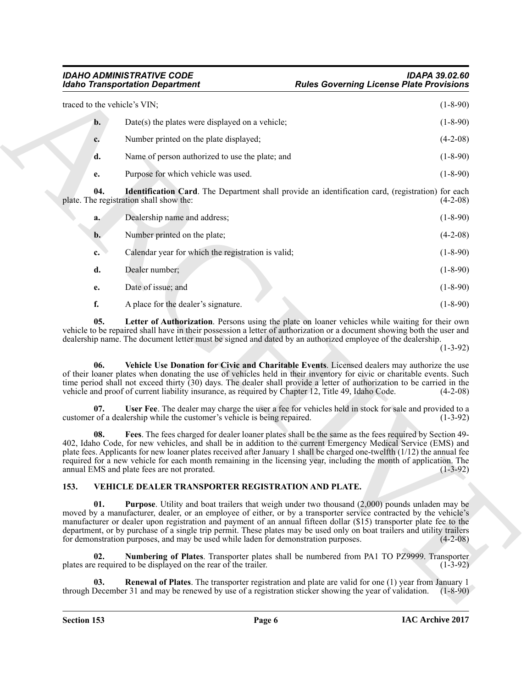<span id="page-5-2"></span>

| <b>Idaho Transportation Department</b> |                                                                                                                                                                                                                                                                                                                                                                                                                                                                                                                                                                     | <b>Rules Governing License Plate Provisions</b> |                          |  |  |  |
|----------------------------------------|---------------------------------------------------------------------------------------------------------------------------------------------------------------------------------------------------------------------------------------------------------------------------------------------------------------------------------------------------------------------------------------------------------------------------------------------------------------------------------------------------------------------------------------------------------------------|-------------------------------------------------|--------------------------|--|--|--|
| traced to the vehicle's VIN;           |                                                                                                                                                                                                                                                                                                                                                                                                                                                                                                                                                                     |                                                 | $(1-8-90)$               |  |  |  |
| b.                                     | $Date(s)$ the plates were displayed on a vehicle;                                                                                                                                                                                                                                                                                                                                                                                                                                                                                                                   |                                                 | $(1-8-90)$               |  |  |  |
| c.                                     | Number printed on the plate displayed;                                                                                                                                                                                                                                                                                                                                                                                                                                                                                                                              |                                                 | $(4-2-08)$               |  |  |  |
| d.                                     | Name of person authorized to use the plate; and                                                                                                                                                                                                                                                                                                                                                                                                                                                                                                                     |                                                 | $(1-8-90)$               |  |  |  |
| e.                                     | Purpose for which vehicle was used.                                                                                                                                                                                                                                                                                                                                                                                                                                                                                                                                 |                                                 | $(1-8-90)$               |  |  |  |
| 04.                                    | <b>Identification Card</b> . The Department shall provide an identification card, (registration) for each<br>plate. The registration shall show the:                                                                                                                                                                                                                                                                                                                                                                                                                |                                                 | $(4-2-08)$               |  |  |  |
| a.                                     | Dealership name and address;                                                                                                                                                                                                                                                                                                                                                                                                                                                                                                                                        |                                                 | $(1-8-90)$               |  |  |  |
| b.                                     | Number printed on the plate;                                                                                                                                                                                                                                                                                                                                                                                                                                                                                                                                        |                                                 | $(4-2-08)$               |  |  |  |
| c.                                     | Calendar year for which the registration is valid;                                                                                                                                                                                                                                                                                                                                                                                                                                                                                                                  |                                                 | $(1-8-90)$               |  |  |  |
| d.                                     | Dealer number;                                                                                                                                                                                                                                                                                                                                                                                                                                                                                                                                                      |                                                 | $(1-8-90)$               |  |  |  |
| е.                                     | Date of issue; and                                                                                                                                                                                                                                                                                                                                                                                                                                                                                                                                                  |                                                 | $(1-8-90)$               |  |  |  |
| f.                                     | A place for the dealer's signature.                                                                                                                                                                                                                                                                                                                                                                                                                                                                                                                                 |                                                 | $(1-8-90)$               |  |  |  |
| 06.                                    | dealership name. The document letter must be signed and dated by an authorized employee of the dealership.<br>Vehicle Use Donation for Civic and Charitable Events. Licensed dealers may authorize the use<br>of their loaner plates when donating the use of vehicles held in their inventory for civic or charitable events. Such<br>time period shall not exceed thirty (30) days. The dealer shall provide a letter of authorization to be carried in the<br>vehicle and proof of current liability insurance, as required by Chapter 12, Title 49, Idaho Code. |                                                 | $(1-3-92)$<br>$(4-2-08)$ |  |  |  |
| 07.                                    | User Fee. The dealer may charge the user a fee for vehicles held in stock for sale and provided to a<br>customer of a dealership while the customer's vehicle is being repaired.                                                                                                                                                                                                                                                                                                                                                                                    |                                                 | $(1-3-92)$               |  |  |  |
| 08.                                    | Fees. The fees charged for dealer loaner plates shall be the same as the fees required by Section 49-<br>402, Idaho Code, for new vehicles, and shall be in addition to the current Emergency Medical Service (EMS) and<br>plate fees. Applicants for new loaner plates received after January 1 shall be charged one-twelfth (1/12) the annual fee<br>required for a new vehicle for each month remaining in the licensing year, including the month of application. The<br>annual EMS and plate fees are not prorated.                                            |                                                 | $(1-3-92)$               |  |  |  |
| 153.                                   | VEHICLE DEALER TRANSPORTER REGISTRATION AND PLATE.                                                                                                                                                                                                                                                                                                                                                                                                                                                                                                                  |                                                 |                          |  |  |  |
| 01.                                    | <b>Purpose</b> . Utility and boat trailers that weigh under two thousand (2,000) pounds unladen may be<br>moved by a manufacturer, dealer, or an employee of either, or by a transporter service contracted by the vehicle's<br>manufacturer or dealer upon registration and payment of an annual fifteen dollar (\$15) transporter plate fee to the                                                                                                                                                                                                                |                                                 |                          |  |  |  |
|                                        | department, or by purchase of a single trip permit. These plates may be used only on boat trailers and utility trailers<br>for demonstration purposes, and may be used while laden for demonstration purposes.                                                                                                                                                                                                                                                                                                                                                      |                                                 |                          |  |  |  |
| 02.                                    | Numbering of Plates. Transporter plates shall be numbered from PA1 TO PZ9999. Transporter<br>plates are required to be displayed on the rear of the trailer.                                                                                                                                                                                                                                                                                                                                                                                                        |                                                 | $(4-2-08)$<br>$(1-3-92)$ |  |  |  |

# <span id="page-5-9"></span><span id="page-5-8"></span><span id="page-5-7"></span><span id="page-5-6"></span><span id="page-5-5"></span><span id="page-5-4"></span><span id="page-5-3"></span><span id="page-5-1"></span><span id="page-5-0"></span>**153. VEHICLE DEALER TRANSPORTER REGISTRATION AND PLATE.**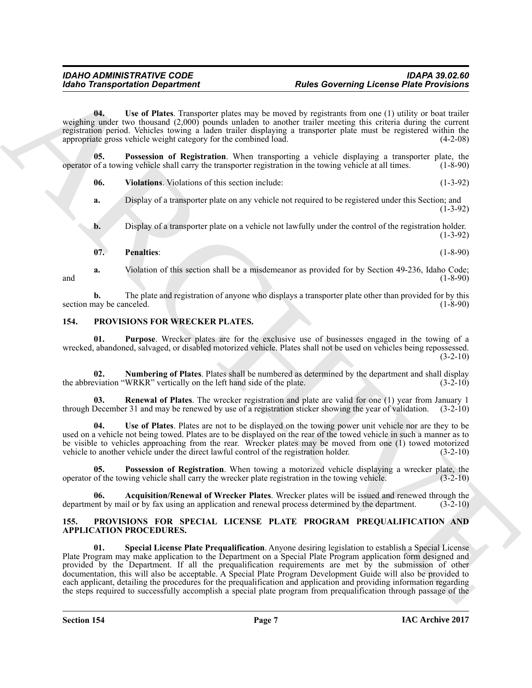<span id="page-6-13"></span>**04. Use of Plates**. Transporter plates may be moved by registrants from one (1) utility or boat trailer weighing under two thousand (2,000) pounds unladen to another trailer meeting this criteria during the current registration period. Vehicles towing a laden trailer displaying a transporter plate must be registered within the appropriate gross vehicle weight category for the combined load. (4-2-08)

**05. Possession of Registration**. When transporting a vehicle displaying a transporter plate, the operator of a towing vehicle shall carry the transporter registration in the towing vehicle at all times. (1-8-90)

<span id="page-6-14"></span><span id="page-6-12"></span>**06.** Violations. Violations of this section include: (1-3-92)

**a.** Display of a transporter plate on any vehicle not required to be registered under this Section; and (1-3-92)

**b.** Display of a transporter plate on a vehicle not lawfully under the control of the registration holder. (1-3-92)

# <span id="page-6-11"></span>**07. Penalties**: (1-8-90)

**a.** Violation of this section shall be a misdemeanor as provided for by Section 49-236, Idaho Code;<br>(1-8-90) and  $(1-8-90)$ 

**b.** The plate and registration of anyone who displays a transporter plate other than provided for by this may be canceled. (1-8-90) section may be canceled.

# <span id="page-6-4"></span><span id="page-6-0"></span>**154. PROVISIONS FOR WRECKER PLATES.**

<span id="page-6-8"></span>**01. Purpose**. Wrecker plates are for the exclusive use of businesses engaged in the towing of a wrecked, abandoned, salvaged, or disabled motorized vehicle. Plates shall not be used on vehicles being repossessed.  $(3-2-10)$ 

<span id="page-6-6"></span>**02.** Numbering of Plates. Plates shall be numbered as determined by the department and shall display viation "WRKR" vertically on the left hand side of the plate. (3-2-10) the abbreviation "WRKR" vertically on the left hand side of the plate.

<span id="page-6-9"></span>**03. Renewal of Plates**. The wrecker registration and plate are valid for one (1) year from January 1 through December 31 and may be renewed by use of a registration sticker showing the year of validation. (3-2-10)

<span id="page-6-10"></span>**04. Use of Plates**. Plates are not to be displayed on the towing power unit vehicle nor are they to be used on a vehicle not being towed. Plates are to be displayed on the rear of the towed vehicle in such a manner as to be visible to vehicles approaching from the rear. Wrecker plates may be moved from one (1) towed motorized vehicle to another vehicle under the direct lawful control of the registration holder. (3-2-10) vehicle to another vehicle under the direct lawful control of the registration holder. (3-2-10)

<span id="page-6-7"></span>**05. Possession of Registration**. When towing a motorized vehicle displaying a wrecker plate, the of the towing vehicle shall carry the wrecker plate registration in the towing vehicle. (3-2-10) operator of the towing vehicle shall carry the wrecker plate registration in the towing vehicle.

<span id="page-6-5"></span>**06.** Acquisition/Renewal of Wrecker Plates. Wrecker plates will be issued and renewed through the ent by mail or by fax using an application and renewal process determined by the department. (3-2-10) department by mail or by fax using an application and renewal process determined by the department.

# <span id="page-6-3"></span><span id="page-6-2"></span><span id="page-6-1"></span>**155. PROVISIONS FOR SPECIAL LICENSE PLATE PROGRAM PREQUALIFICATION AND APPLICATION PROCEDURES.**

Roles Convenient Real to the Channel Real time and the Channel English Provident Real the United States Convenient Channel Channel Channel Channel Channel Channel Channel Channel Channel Channel Channel Channel Channel C **01. Special License Plate Prequalification**. Anyone desiring legislation to establish a Special License Plate Program may make application to the Department on a Special Plate Program application form designed and provided by the Department. If all the prequalification requirements are met by the submission of other documentation, this will also be acceptable. A Special Plate Program Development Guide will also be provided to each applicant, detailing the procedures for the prequalification and application and providing information regarding the steps required to successfully accomplish a special plate program from prequalification through passage of the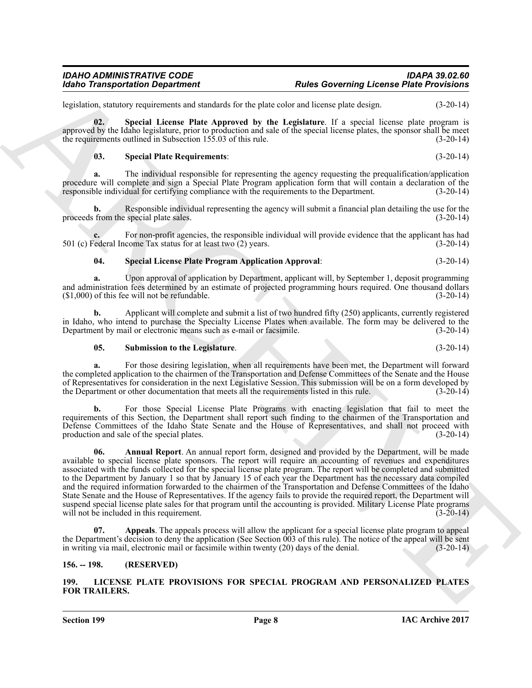legislation, statutory requirements and standards for the plate color and license plate design. (3-20-14)

**02. Special License Plate Approved by the Legislature**. If a special license plate program is approved by the Idaho legislature, prior to production and sale of the special license plates, the sponsor shall be meet the requirements outlined in Subsection 155.03 of this rule. (3-20-14)

### <span id="page-7-7"></span><span id="page-7-5"></span>**03. Special Plate Requirements**: (3-20-14)

**a.** The individual responsible for representing the agency requesting the prequalification/application procedure will complete and sign a Special Plate Program application form that will contain a declaration of the responsible individual for certifying compliance with the requirements to the Department. (3-20-14) responsible individual for certifying compliance with the requirements to the Department.

**b.** Responsible individual representing the agency will submit a financial plan detailing the use for the from the special plate sales.  $(3-20-14)$ proceeds from the special plate sales.

For non-profit agencies, the responsible individual will provide evidence that the applicant has had come Tax status for at least two (2) years. (3-20-14) 501 (c) Federal Income Tax status for at least two  $(2)$  years.

# <span id="page-7-6"></span>**04. Special License Plate Program Application Approval**: (3-20-14)

**a.** Upon approval of application by Department, applicant will, by September 1, deposit programming and administration fees determined by an estimate of projected programming hours required. One thousand dollars (\$1,000) of this fee will not be refundable.  $(1,000)$  of this fee will not be refundable.

**b.** Applicant will complete and submit a list of two hundred fifty (250) applicants, currently registered in Idaho, who intend to purchase the Specialty License Plates when available. The form may be delivered to the<br>Department by mail or electronic means such as e-mail or facsimile. (3-20-14) Department by mail or electronic means such as e-mail or facsimile.

### <span id="page-7-8"></span>**05. Submission to the Legislature**. (3-20-14)

**a.** For those desiring legislation, when all requirements have been met, the Department will forward the completed application to the chairmen of the Transportation and Defense Committees of the Senate and the House of Representatives for consideration in the next Legislative Session. This submission will be on a form developed by the Department or other documentation that meets all the requirements listed in this rule. (3-20-14)

<span id="page-7-3"></span>**b.** For those Special License Plate Programs with enacting legislation that fail to meet the requirements of this Section, the Department shall report such finding to the chairmen of the Transportation and Defense Committees of the Idaho State Senate and the House of Representatives, and shall not proceed with production and sale of the special plates. (3-20-14)

For Taxas provides the special based with the special convenient European Plate Boreal control of the special based with the special based with the special based with the special based with the special based with the spec **06. Annual Report**. An annual report form, designed and provided by the Department, will be made available to special license plate sponsors. The report will require an accounting of revenues and expenditures associated with the funds collected for the special license plate program. The report will be completed and submitted to the Department by January 1 so that by January 15 of each year the Department has the necessary data compiled and the required information forwarded to the chairmen of the Transportation and Defense Committees of the Idaho State Senate and the House of Representatives. If the agency fails to provide the required report, the Department will suspend special license plate sales for that program until the accounting is provided. Military License Plate programs will not be included in this requirement. (3-20-14)

<span id="page-7-4"></span>Appeals. The appeals process will allow the applicant for a special license plate program to appeal the Department's decision to deny the application (See Section 003 of this rule). The notice of the appeal will be sent in writing via mail, electronic mail or facsimile within twenty (20) days of the denial. (3-20-14)

# <span id="page-7-0"></span>**156. -- 198. (RESERVED)**

# <span id="page-7-2"></span><span id="page-7-1"></span>**199. LICENSE PLATE PROVISIONS FOR SPECIAL PROGRAM AND PERSONALIZED PLATES FOR TRAILERS.**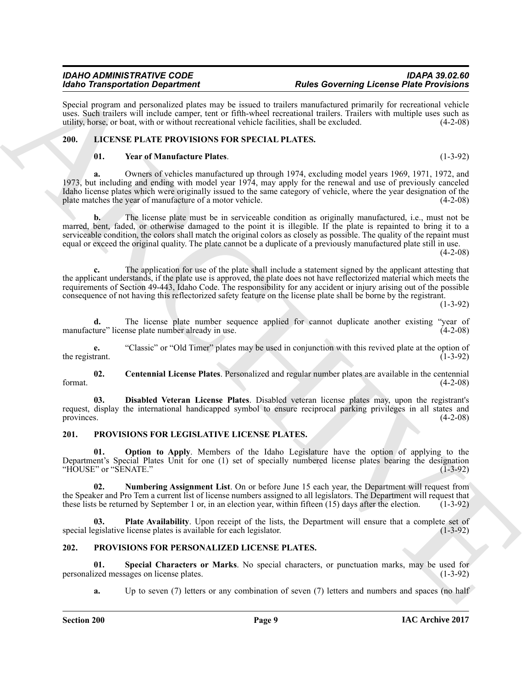Special program and personalized plates may be issued to trailers manufactured primarily for recreational vehicle uses. Such trailers will include camper, tent or fifth-wheel recreational trailers. Trailers with multiple uses such as utility, horse, or boat, with or without recreational vehicle facilities, shall be excluded. (4-2-08) utility, horse, or boat, with or without recreational vehicle facilities, shall be excluded. (4-2-08)

# <span id="page-8-0"></span>**200. LICENSE PLATE PROVISIONS FOR SPECIAL PLATES.**

# <span id="page-8-6"></span><span id="page-8-3"></span>**01. Year of Manufacture Plates**. (1-3-92)

**a.** Owners of vehicles manufactured up through 1974, excluding model years 1969, 1971, 1972, and 1973, but including and ending with model year 1974, may apply for the renewal and use of previously canceled Idaho license plates which were originally issued to the same category of vehicle, where the year designation of the plate matches the year of manufacture of a motor vehicle. (4-2-08) plate matches the year of manufacture of a motor vehicle.

Mond Taraspondants Dependent on the space of the Barone Taraspondant and the space of the President Control is the Section of the Section Anti-<br>
Section and a considered probability that the space of the space of the spa **b.** The license plate must be in serviceable condition as originally manufactured, i.e., must not be marred, bent, faded, or otherwise damaged to the point it is illegible. If the plate is repainted to bring it to a serviceable condition, the colors shall match the original colors as closely as possible. The quality of the repaint must equal or exceed the original quality. The plate cannot be a duplicate of a previously manufactured plate still in use.

 $(4-2-08)$ 

**c.** The application for use of the plate shall include a statement signed by the applicant attesting that the applicant understands, if the plate use is approved, the plate does not have reflectorized material which meets the requirements of Section 49-443, Idaho Code. The responsibility for any accident or injury arising out of the possible consequence of not having this reflectorized safety feature on the license plate shall be borne by the registrant.

(1-3-92)

**d.** The license plate number sequence applied for cannot duplicate another existing "year of ture" license plate number already in use. (4-2-08) manufacture" license plate number already in use.

**e.** "Classic" or "Old Timer" plates may be used in conjunction with this revived plate at the option of trant. the registrant.

<span id="page-8-4"></span>**02. Centennial License Plates**. Personalized and regular number plates are available in the centennial format.  $(4-2-08)$ 

<span id="page-8-5"></span>**03. Disabled Veteran License Plates**. Disabled veteran license plates may, upon the registrant's request, display the international handicapped symbol to ensure reciprocal parking privileges in all states and provinces. (4-2-08)

# <span id="page-8-7"></span><span id="page-8-1"></span>**201. PROVISIONS FOR LEGISLATIVE LICENSE PLATES.**

<span id="page-8-9"></span>**01. Option to Apply**. Members of the Idaho Legislature have the option of applying to the Department's Special Plates Unit for one (1) set of specially numbered license plates bearing the designation "HOUSE" or "SENATE." (1-3-92)

<span id="page-8-8"></span>**02. Numbering Assignment List**. On or before June 15 each year, the Department will request from the Speaker and Pro Tem a current list of license numbers assigned to all legislators. The Department will request that these lists be returned by September 1 or, in an election vear, within fifteen  $(15)$  days after the these lists be returned by September 1 or, in an election year, within fifteen  $(15)$  days after the election.

<span id="page-8-10"></span>**03. Plate Availability**. Upon receipt of the lists, the Department will ensure that a complete set of equislative license plates is available for each legislator. (1-3-92) special legislative license plates is available for each legislator.

# <span id="page-8-11"></span><span id="page-8-2"></span>**202. PROVISIONS FOR PERSONALIZED LICENSE PLATES.**

**01.** Special Characters or Marks. No special characters, or punctuation marks, may be used for ized messages on license plates. (1-3-92) personalized messages on license plates.

<span id="page-8-12"></span>**a.** Up to seven (7) letters or any combination of seven (7) letters and numbers and spaces (no half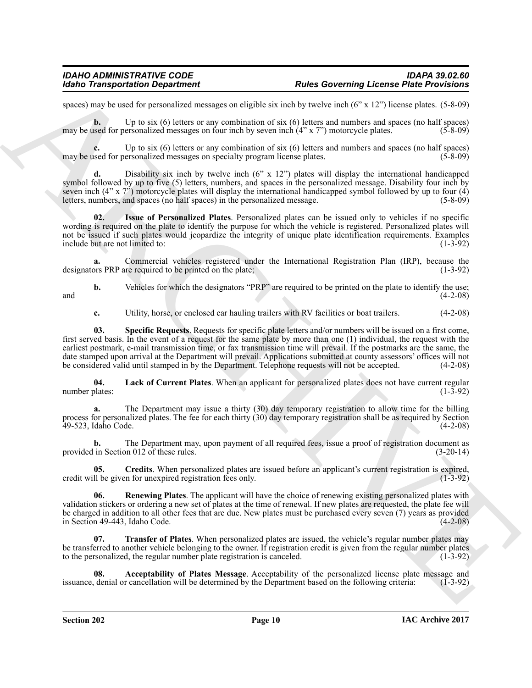spaces) may be used for personalized messages on eligible six inch by twelve inch (6" x 12") license plates. (5-8-09)

**b.** Up to six (6) letters or any combination of six (6) letters and numbers and spaces (no half spaces) may be used for personalized messages on four inch by seven inch (4" x 7") motorcycle plates. (5-8-09)

**c.** Up to six (6) letters or any combination of six (6) letters and numbers and spaces (no half spaces) used for personalized messages on specialty program license plates. (5-8-09) may be used for personalized messages on specialty program license plates.

**d.** Disability six inch by twelve inch (6" x 12") plates will display the international handicapped symbol followed by up to five (5) letters, numbers, and spaces in the personalized message. Disability four inch by seven inch (4" x 7") motorcycle plates will display the international handicapped symbol followed by up to four (4) letters, numbers, and spaces (no half spaces) in the personalized message.  $(5-8-09)$ letters, numbers, and spaces (no half spaces) in the personalized message.

<span id="page-9-2"></span>**02. Issue of Personalized Plates**. Personalized plates can be issued only to vehicles if no specific wording is required on the plate to identify the purpose for which the vehicle is registered. Personalized plates will not be issued if such plates would jeopardize the integrity of unique plate identification requirements. Examples include but are not limited to: (1-3-92) include but are not limited to:

Commercial vehicles registered under the International Registration Plan (IRP), because the required to be printed on the plate: (1-3-92) designators PRP are required to be printed on the plate;

**b.** Vehicles for which the designators "PRP" are required to be printed on the plate to identify the use;<br>(4-2-08) and  $(4-2-08)$ 

<span id="page-9-5"></span>**c.** Utility, horse, or enclosed car hauling trailers with RV facilities or boat trailers. (4-2-08)

For Tanagandra Construent and the state of the Secondary Leons Phis Provident and the state of the Secondary Construent and the state of the Secondary Construent and the state of the state of the state of the state of the **03. Specific Requests**. Requests for specific plate letters and/or numbers will be issued on a first come, first served basis. In the event of a request for the same plate by more than one (1) individual, the request with the earliest postmark, e-mail transmission time, or fax transmission time will prevail. If the postmarks are the same, the date stamped upon arrival at the Department will prevail. Applications submitted at county assessors' offices will not be considered valid until stamped in by the Department. Telephone requests will not be accepted. (4-2-08)

<span id="page-9-3"></span>**04. Lack of Current Plates**. When an applicant for personalized plates does not have current regular number plates: (1-3-92)

**a.** The Department may issue a thirty (30) day temporary registration to allow time for the billing process for personalized plates. The fee for each thirty (30) day temporary registration shall be as required by Section 49-523, Idaho Code. (4-2-08) 49-523, Idaho Code.

**b.** The Department may, upon payment of all required fees, issue a proof of registration document as in Section 012 of these rules. (3-20-14) provided in Section 012 of these rules.

<span id="page-9-1"></span>**05.** Credits. When personalized plates are issued before an applicant's current registration is expired, <br>Il be given for unexpired registration fees only. (1-3-92) credit will be given for unexpired registration fees only.

<span id="page-9-4"></span>**06. Renewing Plates**. The applicant will have the choice of renewing existing personalized plates with validation stickers or ordering a new set of plates at the time of renewal. If new plates are requested, the plate fee will be charged in addition to all other fees that are due. New plates must be purchased every seven (7) years as provided in Section 49-443, Idaho Code. (4-2-08)

<span id="page-9-6"></span>**07. Transfer of Plates**. When personalized plates are issued, the vehicle's regular number plates may be transferred to another vehicle belonging to the owner. If registration credit is given from the regular number plates to the personalized, the regular number plate registration is canceled. (1-3-92) to the personalized, the regular number plate registration is canceled.

<span id="page-9-0"></span>**08.** Acceptability of Plates Message. Acceptability of the personalized license plate message and denial or cancellation will be determined by the Department based on the following criteria: (1-3-92) issuance, denial or cancellation will be determined by the Department based on the following criteria: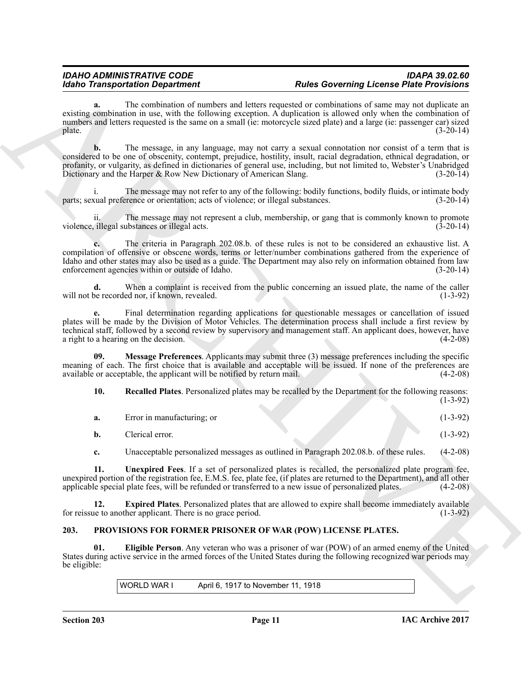**a.** The combination of numbers and letters requested or combinations of same may not duplicate an existing combination in use, with the following exception. A duplication is allowed only when the combination of numbers and letters requested is the same on a small (ie: motorcycle sized plate) and a large (ie: passenger car) sized<br>(3-20-14)  $\mu$  plate. (3-20-14)

Reading Transportation Department<br>
and the contentions consider and ident responses on consider a material of the material of the Proposition and<br>
anti-material points and interview in the following consider a diagonal c **b.** The message, in any language, may not carry a sexual connotation nor consist of a term that is considered to be one of obscenity, contempt, prejudice, hostility, insult, racial degradation, ethnical degradation, or profanity, or vulgarity, as defined in dictionaries of general use, including, but not limited to, Webster's Unabridged Dictionary and the Harper & Row New Dictionary of American Slang. (3-20-14) Dictionary and the Harper  $\&$  Row New Dictionary of American Slang.

The message may not refer to any of the following: bodily functions, bodily fluids, or intimate body rence or orientation; acts of violence; or illegal substances. (3-20-14) parts; sexual preference or orientation; acts of violence; or illegal substances.

The message may not represent a club, membership, or gang that is commonly known to promote ubstances or illegal acts. (3-20-14) violence, illegal substances or illegal acts.

**c.** The criteria in Paragraph 202.08.b. of these rules is not to be considered an exhaustive list. A compilation of offensive or obscene words, terms or letter/number combinations gathered from the experience of Idaho and other states may also be used as a guide. The Department may also rely on information obtained from law enforcement agencies within or outside of Idaho. (3-20-14) enforcement agencies within or outside of Idaho.

**d.** When a complaint is received from the public concerning an issued plate, the name of the caller be recorded nor, if known, revealed. (1-3-92) will not be recorded nor, if known, revealed.

**e.** Final determination regarding applications for questionable messages or cancellation of issued plates will be made by the Division of Motor Vehicles. The determination process shall include a first review by technical staff, followed by a second review by supervisory and management staff. An applicant does, however, have a right to a hearing on the decision.

**09. Message Preferences**. Applicants may submit three (3) message preferences including the specific meaning of each. The first choice that is available and acceptable will be issued. If none of the preferences are available or acceptable, the applicant will be notified by return mail. (4-2-08) available or acceptable, the applicant will be notified by return mail.

<span id="page-10-5"></span><span id="page-10-4"></span>**10. Recalled Plates**. Personalized plates may be recalled by the Department for the following reasons: (1-3-92)

| a. | Error in manufacturing; or |  |  | $(1-3-92)$ |
|----|----------------------------|--|--|------------|
| b. | Clerical error.            |  |  | $(1-3-92)$ |

<span id="page-10-6"></span><span id="page-10-3"></span>**c.** Unacceptable personalized messages as outlined in Paragraph 202.08.b. of these rules. (4-2-08)

**11. Unexpired Fees**. If a set of personalized plates is recalled, the personalized plate program fee, unexpired portion of the registration fee, E.M.S. fee, plate fee, (if plates are returned to the Department), and all other applicable special plate fees, will be refunded or transferred to a new issue of personalized plat applicable special plate fees, will be refunded or transferred to a new issue of personalized plates.

**12. Expired Plates**. Personalized plates that are allowed to expire shall become immediately available for reissue to another applicant. There is no grace period. (1-3-92)

# <span id="page-10-1"></span><span id="page-10-0"></span>**203. PROVISIONS FOR FORMER PRISONER OF WAR (POW) LICENSE PLATES.**

**01. Eligible Person**. Any veteran who was a prisoner of war (POW) of an armed enemy of the United States during active service in the armed forces of the United States during the following recognized war periods may be eligible:

<span id="page-10-2"></span>WORLD WAR I April 6, 1917 to November 11, 1918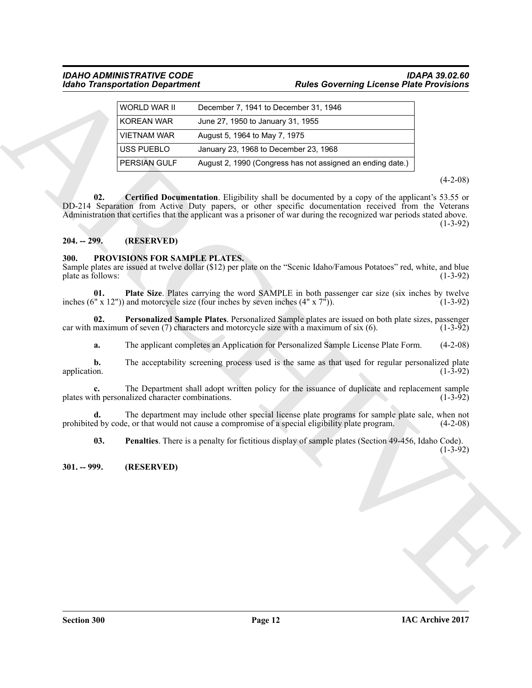|                           | WORLD WAR II                                     | December 7, 1941 to December 31, 1946                                                                                                                                                                                                                                                                                             |                |
|---------------------------|--------------------------------------------------|-----------------------------------------------------------------------------------------------------------------------------------------------------------------------------------------------------------------------------------------------------------------------------------------------------------------------------------|----------------|
|                           | <b>KOREAN WAR</b>                                | June 27, 1950 to January 31, 1955                                                                                                                                                                                                                                                                                                 |                |
|                           | <b>VIETNAM WAR</b>                               | August 5, 1964 to May 7, 1975                                                                                                                                                                                                                                                                                                     |                |
|                           | USS PUEBLO                                       | January 23, 1968 to December 23, 1968                                                                                                                                                                                                                                                                                             |                |
|                           | PERSIAN GULF                                     | August 2, 1990 (Congress has not assigned an ending date.)                                                                                                                                                                                                                                                                        |                |
|                           |                                                  |                                                                                                                                                                                                                                                                                                                                   | $(4-2-08)$     |
| 02.                       |                                                  | Certified Documentation. Eligibility shall be documented by a copy of the applicant's 53.55 or<br>DD-214 Separation from Active Duty papers, or other specific documentation received from the Veterans<br>Administration that certifies that the applicant was a prisoner of war during the recognized war periods stated above. | $(1-3-92)$     |
| $204. - 299.$             | (RESERVED)                                       |                                                                                                                                                                                                                                                                                                                                   |                |
| 300.<br>plate as follows: | PROVISIONS FOR SAMPLE PLATES.                    | Sample plates are issued at twelve dollar (\$12) per plate on the "Scenic Idaho/Famous Potatoes" red, white, and blue                                                                                                                                                                                                             | $(1-3-92)$     |
| 01.                       |                                                  | <b>Plate Size.</b> Plates carrying the word SAMPLE in both passenger car size (six inches by twelve<br>inches (6" x 12")) and motorcycle size (four inches by seven inches $(4" x 7")$ ).                                                                                                                                         | $(1-3-92)$     |
| 02.                       |                                                  | Personalized Sample Plates. Personalized Sample plates are issued on both plate sizes, passenger<br>car with maximum of seven $(7)$ characters and motorcycle size with a maximum of six $(6)$ .                                                                                                                                  | $(1-3-92)$     |
| a.                        |                                                  | The applicant completes an Application for Personalized Sample License Plate Form.                                                                                                                                                                                                                                                | $(4-2-08)$     |
| b.<br>application.        |                                                  | The acceptability screening process used is the same as that used for regular personalized plate                                                                                                                                                                                                                                  | $(1 - 3 - 92)$ |
|                           | plates with personalized character combinations. | The Department shall adopt written policy for the issuance of duplicate and replacement sample                                                                                                                                                                                                                                    | $(1-3-92)$     |
| d.                        |                                                  | The department may include other special license plate programs for sample plate sale, when not<br>prohibited by code, or that would not cause a compromise of a special eligibility plate program.                                                                                                                               | $(4-2-08)$     |
| 03.                       |                                                  | <b>Penalties</b> . There is a penalty for fictitious display of sample plates (Section 49-456, Idaho Code).                                                                                                                                                                                                                       | $(1-3-92)$     |
| $301. - 999.$             | (RESERVED)                                       |                                                                                                                                                                                                                                                                                                                                   |                |
|                           |                                                  |                                                                                                                                                                                                                                                                                                                                   |                |

# <span id="page-11-3"></span><span id="page-11-0"></span>**204. -- 299. (RESERVED)**

# <span id="page-11-7"></span><span id="page-11-6"></span><span id="page-11-4"></span><span id="page-11-1"></span>**300. PROVISIONS FOR SAMPLE PLATES.**

# <span id="page-11-5"></span><span id="page-11-2"></span>**301. -- 999. (RESERVED)**